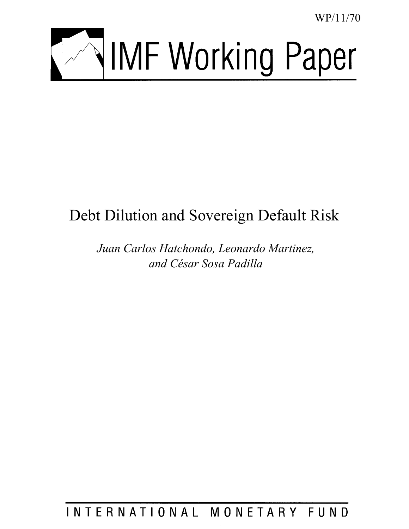WP/11/70



# Debt Dilution and Sovereign Default Risk

*Juan Carlos Hatchondo, Leonardo Martinez, and César Sosa Padilla* 

INTERNATIONAL MONETARY FUND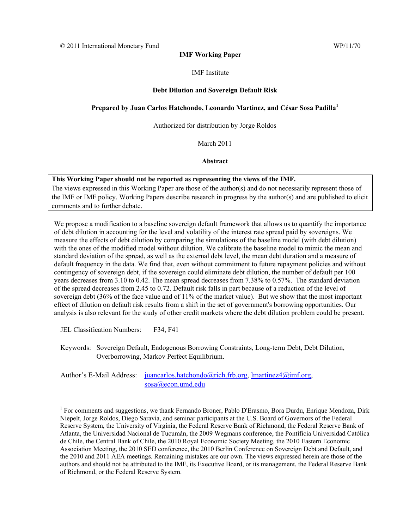### **IMF Working Paper**

### IMF Institute

### **Debt Dilution and Sovereign Default Risk**

### **Prepared by Juan Carlos Hatchondo, Leonardo Martinez, and César Sosa Padilla1**

### Authorized for distribution by Jorge Roldos

March 2011

**Abstract**

### **This Working Paper should not be reported as representing the views of the IMF.**

The views expressed in this Working Paper are those of the author(s) and do not necessarily represent those of the IMF or IMF policy. Working Papers describe research in progress by the author(s) and are published to elicit comments and to further debate.

We propose a modification to a baseline sovereign default framework that allows us to quantify the importance of debt dilution in accounting for the level and volatility of the interest rate spread paid by sovereigns. We measure the effects of debt dilution by comparing the simulations of the baseline model (with debt dilution) with the ones of the modified model without dilution. We calibrate the baseline model to mimic the mean and standard deviation of the spread, as well as the external debt level, the mean debt duration and a measure of default frequency in the data. We find that, even without commitment to future repayment policies and without contingency of sovereign debt, if the sovereign could eliminate debt dilution, the number of default per 100 years decreases from 3.10 to 0.42. The mean spread decreases from 7.38% to 0.57%. The standard deviation of the spread decreases from 2.45 to 0.72. Default risk falls in part because of a reduction of the level of sovereign debt (36% of the face value and of 11% of the market value). But we show that the most important effect of dilution on default risk results from a shift in the set of government's borrowing opportunities. Our analysis is also relevant for the study of other credit markets where the debt dilution problem could be present.

JEL Classification Numbers: F34, F41

 $\overline{a}$ 

Keywords: Sovereign Default, Endogenous Borrowing Constraints, Long-term Debt, Debt Dilution, Overborrowing, Markov Perfect Equilibrium.

Author's E-Mail Address: juancarlos.hatchondo@rich.frb.org, lmartinez4@imf.org, sosa@econ.umd.edu

<sup>&</sup>lt;sup>1</sup> For comments and suggestions, we thank Fernando Broner, Pablo D'Erasmo, Bora Durdu, Enrique Mendoza, Dirk Niepelt, Jorge Roldos, Diego Saravia, and seminar participants at the U.S. Board of Governors of the Federal Reserve System, the University of Virginia, the Federal Reserve Bank of Richmond, the Federal Reserve Bank of Atlanta, the Universidad Nacional de Tucumán, the 2009 Wegmans conference, the Pontificia Universidad Católica de Chile, the Central Bank of Chile, the 2010 Royal Economic Society Meeting, the 2010 Eastern Economic Association Meeting, the 2010 SED conference, the 2010 Berlin Conference on Sovereign Debt and Default, and the 2010 and 2011 AEA meetings. Remaining mistakes are our own. The views expressed herein are those of the authors and should not be attributed to the IMF, its Executive Board, or its management, the Federal Reserve Bank of Richmond, or the Federal Reserve System.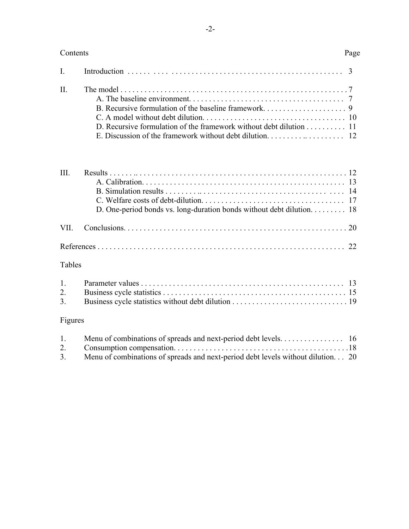# Contents Page

| D. Recursive formulation of the framework without debt dilution $\dots \dots \dots \dots$ 11 |  |
|----------------------------------------------------------------------------------------------|--|
|                                                                                              |  |

| III |                                                                       |  |
|-----|-----------------------------------------------------------------------|--|
|     |                                                                       |  |
|     |                                                                       |  |
|     | D. One-period bonds vs. long-duration bonds without debt dilution. 18 |  |
|     |                                                                       |  |
|     |                                                                       |  |

# Tables

# Figures

| 1. |                                                                                 |  |
|----|---------------------------------------------------------------------------------|--|
|    |                                                                                 |  |
| 3. | Menu of combinations of spreads and next-period debt levels without dilution 20 |  |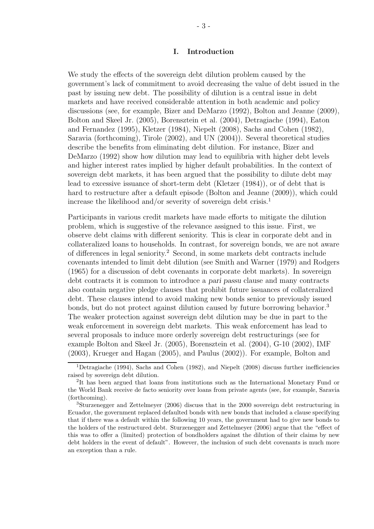# I. Introduction

We study the effects of the sovereign debt dilution problem caused by the government's lack of commitment to avoid decreasing the value of debt issued in the past by issuing new debt. The possibility of dilution is a central issue in debt markets and have received considerable attention in both academic and policy discussions (see, for example, Bizer and DeMarzo (1992), Bolton and Jeanne (2009), Bolton and Skeel Jr. (2005), Borensztein et al. (2004), Detragiache (1994), Eaton and Fernandez (1995), Kletzer (1984), Niepelt (2008), Sachs and Cohen (1982), Saravia (forthcoming), Tirole (2002), and UN (2004)). Several theoretical studies describe the benefits from eliminating debt dilution. For instance, Bizer and DeMarzo (1992) show how dilution may lead to equilibria with higher debt levels and higher interest rates implied by higher default probabilities. In the context of sovereign debt markets, it has been argued that the possibility to dilute debt may lead to excessive issuance of short-term debt (Kletzer (1984)), or of debt that is hard to restructure after a default episode (Bolton and Jeanne (2009)), which could increase the likelihood and/or severity of sovereign debt crisis.<sup>1</sup>

Participants in various credit markets have made efforts to mitigate the dilution problem, which is suggestive of the relevance assigned to this issue. First, we observe debt claims with different seniority. This is clear in corporate debt and in collateralized loans to households. In contrast, for sovereign bonds, we are not aware of differences in legal seniority.<sup>2</sup> Second, in some markets debt contracts include covenants intended to limit debt dilution (see Smith and Warner (1979) and Rodgers (1965) for a discussion of debt covenants in corporate debt markets). In sovereign debt contracts it is common to introduce a pari passu clause and many contracts also contain negative pledge clauses that prohibit future issuances of collateralized debt. These clauses intend to avoid making new bonds senior to previously issued bonds, but do not protect against dilution caused by future borrowing behavior.<sup>3</sup> The weaker protection against sovereign debt dilution may be due in part to the weak enforcement in sovereign debt markets. This weak enforcement has lead to several proposals to induce more orderly sovereign debt restructurings (see for example Bolton and Skeel Jr. (2005), Borensztein et al. (2004), G-10 (2002), IMF (2003), Krueger and Hagan (2005), and Paulus (2002)). For example, Bolton and

<sup>&</sup>lt;sup>1</sup>Detragiache (1994), Sachs and Cohen (1982), and Niepelt (2008) discuss further inefficiencies raised by sovereign debt dilution.

<sup>2</sup> It has been argued that loans from institutions such as the International Monetary Fund or the World Bank receive de facto seniority over loans from private agents (see, for example, Saravia (forthcoming).

<sup>3</sup>Sturzenegger and Zettelmeyer (2006) discuss that in the 2000 sovereign debt restructuring in Ecuador, the government replaced defaulted bonds with new bonds that included a clause specifying that if there was a default within the following 10 years, the government had to give new bonds to the holders of the restructured debt. Sturzenegger and Zettelmeyer (2006) argue that the "effect of this was to offer a (limited) protection of bondholders against the dilution of their claims by new debt holders in the event of default". However, the inclusion of such debt covenants is much more an exception than a rule.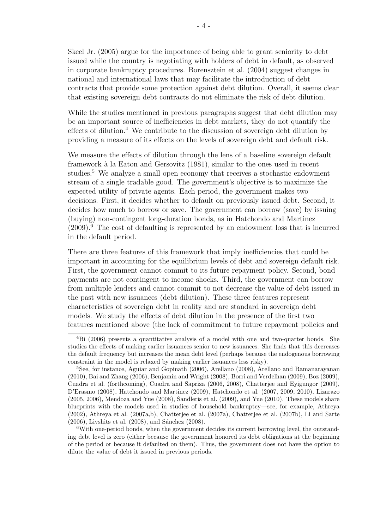Skeel Jr. (2005) argue for the importance of being able to grant seniority to debt issued while the country is negotiating with holders of debt in default, as observed in corporate bankruptcy procedures. Borensztein et al. (2004) suggest changes in national and international laws that may facilitate the introduction of debt contracts that provide some protection against debt dilution. Overall, it seems clear that existing sovereign debt contracts do not eliminate the risk of debt dilution.

While the studies mentioned in previous paragraphs suggest that debt dilution may be an important source of inefficiencies in debt markets, they do not quantify the effects of dilution.<sup>4</sup> We contribute to the discussion of sovereign debt dilution by providing a measure of its effects on the levels of sovereign debt and default risk.

We measure the effects of dilution through the lens of a baseline sovereign default framework à la Eaton and Gersovitz (1981), similar to the ones used in recent studies.<sup>5</sup> We analyze a small open economy that receives a stochastic endowment stream of a single tradable good. The government's objective is to maximize the expected utility of private agents. Each period, the government makes two decisions. First, it decides whether to default on previously issued debt. Second, it decides how much to borrow or save. The government can borrow (save) by issuing (buying) non-contingent long-duration bonds, as in Hatchondo and Martinez  $(2009)$ <sup>6</sup>. The cost of defaulting is represented by an endowment loss that is incurred in the default period.

There are three features of this framework that imply inefficiencies that could be important in accounting for the equilibrium levels of debt and sovereign default risk. First, the government cannot commit to its future repayment policy. Second, bond payments are not contingent to income shocks. Third, the government can borrow from multiple lenders and cannot commit to not decrease the value of debt issued in the past with new issuances (debt dilution). These three features represent characteristics of sovereign debt in reality and are standard in sovereign debt models. We study the effects of debt dilution in the presence of the first two features mentioned above (the lack of commitment to future repayment policies and

<sup>4</sup>Bi (2006) presents a quantitative analysis of a model with one and two-quarter bonds. She studies the effects of making earlier issuances senior to new issuances. She finds that this decreases the default frequency but increases the mean debt level (perhaps because the endogenous borrowing constraint in the model is relaxed by making earlier issuances less risky).

<sup>&</sup>lt;sup>5</sup>See, for instance, Aguiar and Gopinath (2006), Arellano (2008), Arellano and Ramanarayanan (2010), Bai and Zhang (2006), Benjamin and Wright (2008), Borri and Verdelhan (2009), Boz (2009), Cuadra et al. (forthcoming), Cuadra and Sapriza (2006, 2008), Chatterjee and Eyigungor (2009), D'Erasmo (2008), Hatchondo and Martinez (2009), Hatchondo et al. (2007, 2009, 2010), Lizarazo (2005, 2006), Mendoza and Yue (2008), Sandleris et al. (2009), and Yue (2010). These models share blueprints with the models used in studies of household bankruptcy—see, for example, Athreya (2002), Athreya et al. (2007a,b), Chatterjee et al. (2007a), Chatterjee et al. (2007b), Li and Sarte  $(2006)$ , Livshits et al.  $(2008)$ , and Sánchez  $(2008)$ .

 $6$ With one-period bonds, when the government decides its current borrowing level, the outstanding debt level is zero (either because the government honored its debt obligations at the beginning of the period or because it defaulted on them). Thus, the government does not have the option to dilute the value of debt it issued in previous periods.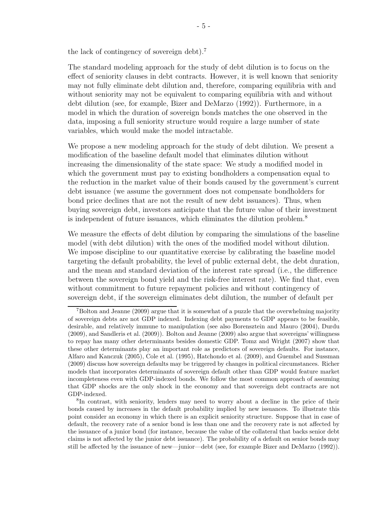the lack of contingency of sovereign debt).<sup>7</sup>

The standard modeling approach for the study of debt dilution is to focus on the effect of seniority clauses in debt contracts. However, it is well known that seniority may not fully eliminate debt dilution and, therefore, comparing equilibria with and without seniority may not be equivalent to comparing equilibria with and without debt dilution (see, for example, Bizer and DeMarzo (1992)). Furthermore, in a model in which the duration of sovereign bonds matches the one observed in the data, imposing a full seniority structure would require a large number of state variables, which would make the model intractable.

We propose a new modeling approach for the study of debt dilution. We present a modification of the baseline default model that eliminates dilution without increasing the dimensionality of the state space: We study a modified model in which the government must pay to existing bondholders a compensation equal to the reduction in the market value of their bonds caused by the government's current debt issuance (we assume the government does not compensate bondholders for bond price declines that are not the result of new debt issuances). Thus, when buying sovereign debt, investors anticipate that the future value of their investment is independent of future issuances, which eliminates the dilution problem.<sup>8</sup>

We measure the effects of debt dilution by comparing the simulations of the baseline model (with debt dilution) with the ones of the modified model without dilution. We impose discipline to our quantitative exercise by calibrating the baseline model targeting the default probability, the level of public external debt, the debt duration, and the mean and standard deviation of the interest rate spread (i.e., the difference between the sovereign bond yield and the risk-free interest rate). We find that, even without commitment to future repayment policies and without contingency of sovereign debt, if the sovereign eliminates debt dilution, the number of default per

8 In contrast, with seniority, lenders may need to worry about a decline in the price of their bonds caused by increases in the default probability implied by new issuances. To illustrate this point consider an economy in which there is an explicit seniority structure. Suppose that in case of default, the recovery rate of a senior bond is less than one and the recovery rate is not affected by the issuance of a junior bond (for instance, because the value of the collateral that backs senior debt claims is not affected by the junior debt issuance). The probability of a default on senior bonds may still be affected by the issuance of new—junior—debt (see, for example Bizer and DeMarzo (1992)).

<sup>7</sup>Bolton and Jeanne (2009) argue that it is somewhat of a puzzle that the overwhelming majority of sovereign debts are not GDP indexed. Indexing debt payments to GDP appears to be feasible, desirable, and relatively immune to manipulation (see also Borensztein and Mauro (2004), Durdu (2009), and Sandleris et al. (2009)). Bolton and Jeanne (2009) also argue that sovereigns' willingness to repay has many other determinants besides domestic GDP. Tomz and Wright (2007) show that these other determinants play an important role as predictors of sovereign defaults. For instance, Alfaro and Kanczuk (2005), Cole et al. (1995), Hatchondo et al. (2009), and Guembel and Sussman (2009) discuss how sovereign defaults may be triggered by changes in political circumstances. Richer models that incorporates determinants of sovereign default other than GDP would feature market incompleteness even with GDP-indexed bonds. We follow the most common approach of assuming that GDP shocks are the only shock in the economy and that sovereign debt contracts are not GDP-indexed.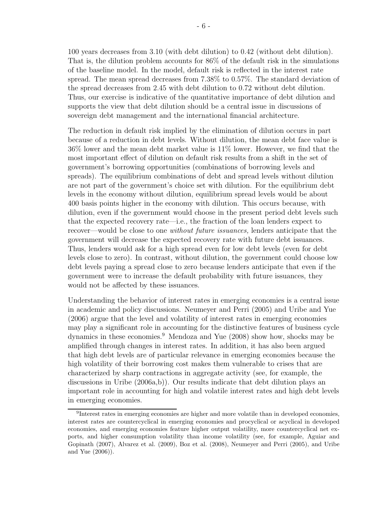100 years decreases from 3.10 (with debt dilution) to 0.42 (without debt dilution). That is, the dilution problem accounts for 86% of the default risk in the simulations of the baseline model. In the model, default risk is reflected in the interest rate spread. The mean spread decreases from 7.38% to 0.57%. The standard deviation of the spread decreases from 2.45 with debt dilution to 0.72 without debt dilution. Thus, our exercise is indicative of the quantitative importance of debt dilution and supports the view that debt dilution should be a central issue in discussions of sovereign debt management and the international financial architecture.

The reduction in default risk implied by the elimination of dilution occurs in part because of a reduction in debt levels. Without dilution, the mean debt face value is 36% lower and the mean debt market value is 11% lower. However, we find that the most important effect of dilution on default risk results from a shift in the set of government's borrowing opportunities (combinations of borrowing levels and spreads). The equilibrium combinations of debt and spread levels without dilution are not part of the government's choice set with dilution. For the equilibrium debt levels in the economy without dilution, equilibrium spread levels would be about 400 basis points higher in the economy with dilution. This occurs because, with dilution, even if the government would choose in the present period debt levels such that the expected recovery rate—i.e., the fraction of the loan lenders expect to recover—would be close to one without future issuances, lenders anticipate that the government will decrease the expected recovery rate with future debt issuances. Thus, lenders would ask for a high spread even for low debt levels (even for debt levels close to zero). In contrast, without dilution, the government could choose low debt levels paying a spread close to zero because lenders anticipate that even if the government were to increase the default probability with future issuances, they would not be affected by these issuances.

Understanding the behavior of interest rates in emerging economies is a central issue in academic and policy discussions. Neumeyer and Perri (2005) and Uribe and Yue (2006) argue that the level and volatility of interest rates in emerging economies may play a significant role in accounting for the distinctive features of business cycle dynamics in these economies.<sup>9</sup> Mendoza and Yue (2008) show how, shocks may be amplified through changes in interest rates. In addition, it has also been argued that high debt levels are of particular relevance in emerging economies because the high volatility of their borrowing cost makes them vulnerable to crises that are characterized by sharp contractions in aggregate activity (see, for example, the discussions in Uribe (2006a,b)). Our results indicate that debt dilution plays an important role in accounting for high and volatile interest rates and high debt levels in emerging economies.

<sup>&</sup>lt;sup>9</sup>Interest rates in emerging economies are higher and more volatile than in developed economies, interest rates are countercyclical in emerging economies and procyclical or acyclical in developed economies, and emerging economies feature higher output volatility, more countercyclical net exports, and higher consumption volatility than income volatility (see, for example, Aguiar and Gopinath (2007), Alvarez et al. (2009), Boz et al. (2008), Neumeyer and Perri (2005), and Uribe and Yue (2006)).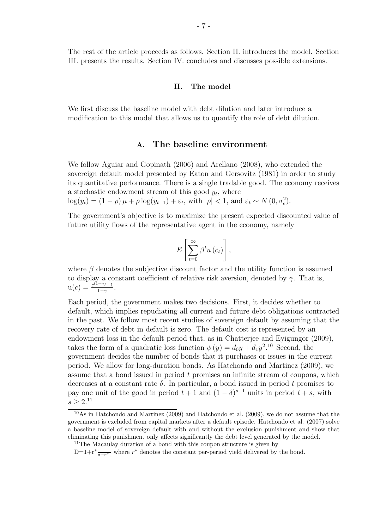## II. The model

We first discuss the baseline model with debt dilution and later introduce a modification to this model that allows us to quantify the role of debt dilution.

# A. The baseline environment

We follow Aguiar and Gopinath (2006) and Arellano (2008), who extended the sovereign default model presented by Eaton and Gersovitz (1981) in order to study its quantitative performance. There is a single tradable good. The economy receives a stochastic endowment stream of this good  $y_t$ , where

 $\log(y_t) = (1 - \rho)\mu + \rho \log(y_{t-1}) + \varepsilon_t$ , with  $|\rho| < 1$ , and  $\varepsilon_t \sim N(0, \sigma_{\epsilon}^2)$ .

The government's objective is to maximize the present expected discounted value of future utility flows of the representative agent in the economy, namely

$$
E\left[\sum_{t=0}^{\infty}\beta^t u\left(c_t\right)\right],
$$

where  $\beta$  denotes the subjective discount factor and the utility function is assumed to display a constant coefficient of relative risk aversion, denoted by  $\gamma$ . That is,  $u(c) = \frac{c^{(1-\gamma)}-1}{1-\gamma}$  $\frac{-\gamma-1}{1-\gamma}$ .

Each period, the government makes two decisions. First, it decides whether to default, which implies repudiating all current and future debt obligations contracted in the past. We follow most recent studies of sovereign default by assuming that the recovery rate of debt in default is zero. The default cost is represented by an endowment loss in the default period that, as in Chatterjee and Eyigungor (2009), takes the form of a quadratic loss function  $\phi(y) = d_0y + d_1y^2$ <sup>10</sup> Second, the government decides the number of bonds that it purchases or issues in the current period. We allow for long-duration bonds. As Hatchondo and Martinez (2009), we assume that a bond issued in period t promises an infinite stream of coupons, which decreases at a constant rate  $\delta$ . In particular, a bond issued in period t promises to pay one unit of the good in period  $t + 1$  and  $(1 - \delta)^{s-1}$  units in period  $t + s$ , with  $s > 2^{11}$ 

 $10$ As in Hatchondo and Martinez (2009) and Hatchondo et al. (2009), we do not assume that the government is excluded from capital markets after a default episode. Hatchondo et al. (2007) solve a baseline model of sovereign default with and without the exclusion punishment and show that eliminating this punishment only affects significantly the debt level generated by the model.

<sup>11</sup>The Macaulay duration of a bond with this coupon structure is given by

 $D=1+r^*\frac{\delta+r^*}{\delta+r^*}$ , where  $r^*$  denotes the constant per-period yield delivered by the bond.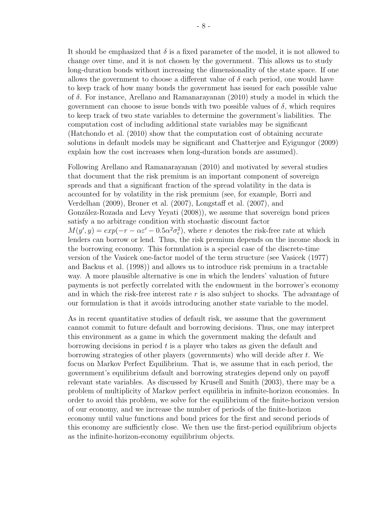It should be emphasized that  $\delta$  is a fixed parameter of the model, it is not allowed to change over time, and it is not chosen by the government. This allows us to study long-duration bonds without increasing the dimensionality of the state space. If one allows the government to choose a different value of  $\delta$  each period, one would have to keep track of how many bonds the government has issued for each possible value of  $\delta$ . For instance, Arellano and Ramanarayanan (2010) study a model in which the government can choose to issue bonds with two possible values of  $\delta$ , which requires to keep track of two state variables to determine the government's liabilities. The computation cost of including additional state variables may be significant (Hatchondo et al. (2010) show that the computation cost of obtaining accurate solutions in default models may be significant and Chatterjee and Eyigungor (2009) explain how the cost increases when long-duration bonds are assumed).

Following Arellano and Ramanarayanan (2010) and motivated by several studies that document that the risk premium is an important component of sovereign spreads and that a significant fraction of the spread volatility in the data is accounted for by volatility in the risk premium (see, for example, Borri and Verdelhan (2009), Broner et al. (2007), Longstaff et al. (2007), and González-Rozada and Levy Yeyati (2008)), we assume that sovereign bond prices satisfy a no arbitrage condition with stochastic discount factor  $M(y', y) = exp(-r - \alpha \varepsilon' - 0.5\alpha^2 \sigma_{\epsilon}^2)$ , where r denotes the risk-free rate at which lenders can borrow or lend. Thus, the risk premium depends on the income shock in the borrowing economy. This formulation is a special case of the discrete-time version of the Vasicek one-factor model of the term structure (see Vasicek (1977) and Backus et al. (1998)) and allows us to introduce risk premium in a tractable way. A more plausible alternative is one in which the lenders' valuation of future payments is not perfectly correlated with the endowment in the borrower's economy and in which the risk-free interest rate r is also subject to shocks. The advantage of our formulation is that it avoids introducing another state variable to the model.

As in recent quantitative studies of default risk, we assume that the government cannot commit to future default and borrowing decisions. Thus, one may interpret this environment as a game in which the government making the default and borrowing decisions in period  $t$  is a player who takes as given the default and borrowing strategies of other players (governments) who will decide after t. We focus on Markov Perfect Equilibrium. That is, we assume that in each period, the government's equilibrium default and borrowing strategies depend only on payoff relevant state variables. As discussed by Krusell and Smith (2003), there may be a problem of multiplicity of Markov perfect equilibria in infinite-horizon economies. In order to avoid this problem, we solve for the equilibrium of the finite-horizon version of our economy, and we increase the number of periods of the finite-horizon economy until value functions and bond prices for the first and second periods of this economy are sufficiently close. We then use the first-period equilibrium objects as the infinite-horizon-economy equilibrium objects.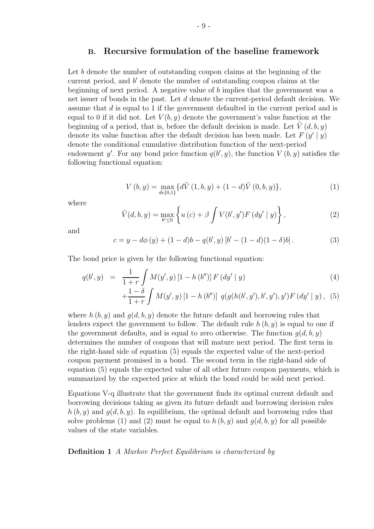# B. Recursive formulation of the baseline framework

- 9 -

Let b denote the number of outstanding coupon claims at the beginning of the current period, and b' denote the number of outstanding coupon claims at the beginning of next period. A negative value of b implies that the government was a net issuer of bonds in the past. Let d denote the current-period default decision. We assume that d is equal to 1 if the government defaulted in the current period and is equal to 0 if it did not. Let  $V(b, y)$  denote the government's value function at the beginning of a period, that is, before the default decision is made. Let  $V(d, b, y)$ denote its value function after the default decision has been made. Let  $F(y \mid y)$ denote the conditional cumulative distribution function of the next-period endowment y'. For any bond price function  $q(b', y)$ , the function  $V(b, y)$  satisfies the following functional equation:

$$
V(b, y) = \max_{d \in \{0, 1\}} \{ d\tilde{V}(1, b, y) + (1 - d)\tilde{V}(0, b, y) \},\tag{1}
$$

where

$$
\tilde{V}(d,b,y) = \max_{b' \le 0} \left\{ u(c) + \beta \int V(b',y')F(dy' | y) \right\},\tag{2}
$$

and

$$
c = y - d\phi(y) + (1 - d)b - q(b', y)[b' - (1 - d)(1 - \delta)b].
$$
\n(3)

The bond price is given by the following functional equation:

$$
q(b', y) = \frac{1}{1+r} \int M(y', y) [1 - h(b'')] F(dy' | y)
$$
  
+ 
$$
\frac{1-\delta}{1+r} \int M(y', y) [1 - h(b'')] q(g(h(b', y'), b', y'), y') F(dy' | y), (5)
$$

where  $h(b, y)$  and  $q(d, b, y)$  denote the future default and borrowing rules that lenders expect the government to follow. The default rule  $h(b, y)$  is equal to one if the government defaults, and is equal to zero otherwise. The function  $q(d, b, y)$ determines the number of coupons that will mature next period. The first term in the right-hand side of equation (5) equals the expected value of the next-period coupon payment promised in a bond. The second term in the right-hand side of equation (5) equals the expected value of all other future coupon payments, which is summarized by the expected price at which the bond could be sold next period.

Equations V-q illustrate that the government finds its optimal current default and borrowing decisions taking as given its future default and borrowing decision rules  $h (b, y)$  and  $q(d, b, y)$ . In equilibrium, the optimal default and borrowing rules that solve problems (1) and (2) must be equal to  $h (b, y)$  and  $g(d, b, y)$  for all possible values of the state variables.

Definition 1 A Markov Perfect Equilibrium is characterized by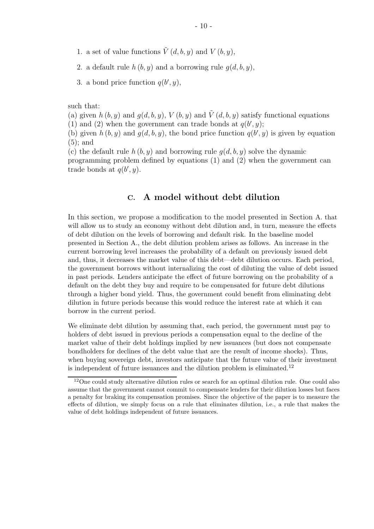- 1. a set of value functions  $\tilde{V}(d, b, y)$  and  $V(b, y)$ ,
- 2. a default rule  $h(b, y)$  and a borrowing rule  $q(d, b, y)$ ,
- 3. a bond price function  $q(b', y)$ ,

such that:

(a) given  $h (b, y)$  and  $g(d, b, y)$ ,  $V (b, y)$  and  $\tilde{V} (d, b, y)$  satisfy functional equations

(1) and (2) when the government can trade bonds at  $q(b', y)$ ;

(b) given  $h(b, y)$  and  $g(d, b, y)$ , the bond price function  $q(b', y)$  is given by equation (5); and

(c) the default rule  $h(b, y)$  and borrowing rule  $q(d, b, y)$  solve the dynamic programming problem defined by equations (1) and (2) when the government can trade bonds at  $q(b', y)$ .

# C. A model without debt dilution

In this section, we propose a modification to the model presented in Section A. that will allow us to study an economy without debt dilution and, in turn, measure the effects of debt dilution on the levels of borrowing and default risk. In the baseline model presented in Section A., the debt dilution problem arises as follows. An increase in the current borrowing level increases the probability of a default on previously issued debt and, thus, it decreases the market value of this debt—debt dilution occurs. Each period, the government borrows without internalizing the cost of diluting the value of debt issued in past periods. Lenders anticipate the effect of future borrowing on the probability of a default on the debt they buy and require to be compensated for future debt dilutions through a higher bond yield. Thus, the government could benefit from eliminating debt dilution in future periods because this would reduce the interest rate at which it can borrow in the current period.

We eliminate debt dilution by assuming that, each period, the government must pay to holders of debt issued in previous periods a compensation equal to the decline of the market value of their debt holdings implied by new issuances (but does not compensate bondholders for declines of the debt value that are the result of income shocks). Thus, when buying sovereign debt, investors anticipate that the future value of their investment is independent of future issuances and the dilution problem is eliminated.<sup>12</sup>

<sup>&</sup>lt;sup>12</sup>One could study alternative dilution rules or search for an optimal dilution rule. One could also assume that the government cannot commit to compensate lenders for their dilution losses but faces a penalty for braking its compensation promises. Since the objective of the paper is to measure the effects of dilution, we simply focus on a rule that eliminates dilution, i.e., a rule that makes the value of debt holdings independent of future issuances.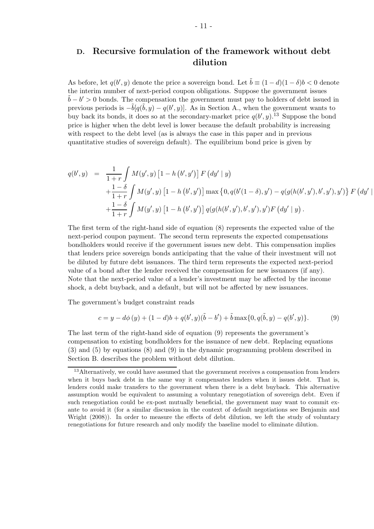# D. Recursive formulation of the framework without debt dilution

As before, let  $q(b', y)$  denote the price a sovereign bond. Let  $\tilde{b} \equiv (1 - d)(1 - \delta)b < 0$  denote the interim number of next-period coupon obligations. Suppose the government issues  $\tilde{b} - b' > 0$  bonds. The compensation the government must pay to holders of debt issued in previous periods is  $-\tilde{b}[q(\tilde{b}, y) - q(b', y)]$ . As in Section A., when the government wants to buy back its bonds, it does so at the secondary-market price  $q(b', y)$ .<sup>13</sup> Suppose the bond price is higher when the debt level is lower because the default probability is increasing with respect to the debt level (as is always the case in this paper and in previous quantitative studies of sovereign default). The equilibrium bond price is given by

$$
q(b', y) = \frac{1}{1+r} \int M(y', y) [1 - h(b', y')] F(dy' | y)
$$
  
+ 
$$
\frac{1-\delta}{1+r} \int M(y', y) [1 - h(b', y')] \max \{0, q(b'(1-\delta), y') - q(g(h(b', y'), b', y'), y')\} F(dy' |
$$
  
+ 
$$
\frac{1-\delta}{1+r} \int M(y', y) [1 - h(b', y')] q(g(h(b', y'), b', y'), y') F(dy' | y).
$$

 $\overline{\phantom{a}}$ 

The first term of the right-hand side of equation (8) represents the expected value of the next-period coupon payment. The second term represents the expected compensations bondholders would receive if the government issues new debt. This compensation implies that lenders price sovereign bonds anticipating that the value of their investment will not be diluted by future debt issuances. The third term represents the expected next-period value of a bond after the lender received the compensation for new issuances (if any). Note that the next-period value of a lender's investment may be affected by the income shock, a debt buyback, and a default, but will not be affected by new issuances.

The government's budget constraint reads

$$
c = y - d\phi(y) + (1 - d)b + q(b', y)(\tilde{b} - b') + \tilde{b} \max\{0, q(\tilde{b}, y) - q(b', y)\}.
$$
 (9)

The last term of the right-hand side of equation (9) represents the government's compensation to existing bondholders for the issuance of new debt. Replacing equations (3) and (5) by equations (8) and (9) in the dynamic programming problem described in Section B. describes the problem without debt dilution.

<sup>&</sup>lt;sup>13</sup>Alternatively, we could have assumed that the government receives a compensation from lenders when it buys back debt in the same way it compensates lenders when it issues debt. That is, lenders could make transfers to the government when there is a debt buyback. This alternative assumption would be equivalent to assuming a voluntary renegotiation of sovereign debt. Even if such renegotiation could be ex-post mutually beneficial, the government may want to commit exante to avoid it (for a similar discussion in the context of default negotiations see Benjamin and Wright (2008)). In order to measure the effects of debt dilution, we left the study of voluntary renegotiations for future research and only modify the baseline model to eliminate dilution.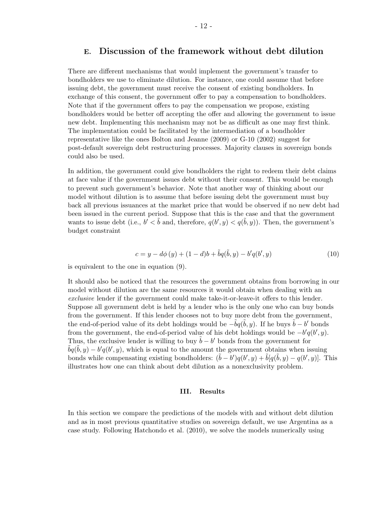# E. Discussion of the framework without debt dilution

There are different mechanisms that would implement the government's transfer to bondholders we use to eliminate dilution. For instance, one could assume that before issuing debt, the government must receive the consent of existing bondholders. In exchange of this consent, the government offer to pay a compensation to bondholders. Note that if the government offers to pay the compensation we propose, existing bondholders would be better off accepting the offer and allowing the government to issue new debt. Implementing this mechanism may not be as difficult as one may first think. The implementation could be facilitated by the intermediation of a bondholder representative like the ones Bolton and Jeanne (2009) or G-10 (2002) suggest for post-default sovereign debt restructuring processes. Majority clauses in sovereign bonds could also be used.

In addition, the government could give bondholders the right to redeem their debt claims at face value if the government issues debt without their consent. This would be enough to prevent such government's behavior. Note that another way of thinking about our model without dilution is to assume that before issuing debt the government must buy back all previous issuances at the market price that would be observed if no new debt had been issued in the current period. Suppose that this is the case and that the government wants to issue debt (i.e.,  $b' < \tilde{b}$  and, therefore,  $q(b', y) < q(\tilde{b}, y)$ ). Then, the government's budget constraint

$$
c = y - d\phi(y) + (1 - d)b + \tilde{b}q(\tilde{b}, y) - b'q(b', y)
$$
\n(10)

is equivalent to the one in equation (9).

It should also be noticed that the resources the government obtains from borrowing in our model without dilution are the same resources it would obtain when dealing with an exclusive lender if the government could make take-it-or-leave-it offers to this lender. Suppose all government debt is held by a lender who is the only one who can buy bonds from the government. If this lender chooses not to buy more debt from the government, the end-of-period value of its debt holdings would be  $-\tilde{b}q(\tilde{b},y)$ . If he buys  $\tilde{b} - b'$  bonds from the government, the end-of-period value of his debt holdings would be  $-b'q(b', y)$ . Thus, the exclusive lender is willing to buy  $\tilde{b} - b'$  bonds from the government for  $\tilde{b}q(\tilde{b}, y) - b'q(b', y)$ , which is equal to the amount the government obtains when issuing bonds while compensating existing bondholders:  $(\tilde{b} - b')q(b', y) + \tilde{b}[q(\tilde{b}, y) - q(b', y)]$ . This illustrates how one can think about debt dilution as a nonexclusivity problem.

### III. Results

In this section we compare the predictions of the models with and without debt dilution and as in most previous quantitative studies on sovereign default, we use Argentina as a case study. Following Hatchondo et al. (2010), we solve the models numerically using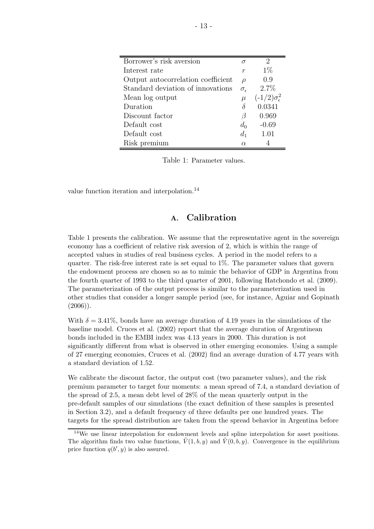| Borrower's risk aversion           | $\sigma$            | 2                             |
|------------------------------------|---------------------|-------------------------------|
| Interest rate                      | $\,r$               | $1\%$                         |
| Output autocorrelation coefficient | $\rho$              | 0.9                           |
| Standard deviation of innovations  | $\sigma_{\epsilon}$ | 2.7%                          |
| Mean log output                    | $\mu$               | $(-1/2)\sigma_{\epsilon}^{2}$ |
| Duration                           |                     | 0.0341                        |
| Discount factor                    | β                   | 0.969                         |
| Default cost                       | $d_0$               | $-0.69$                       |
| Default cost                       | $d_1$               | 1.01                          |
| Risk premium                       | $\alpha$            |                               |

Table 1: Parameter values.

value function iteration and interpolation.<sup>14</sup>

# A. Calibration

Table 1 presents the calibration. We assume that the representative agent in the sovereign economy has a coefficient of relative risk aversion of 2, which is within the range of accepted values in studies of real business cycles. A period in the model refers to a quarter. The risk-free interest rate is set equal to 1%. The parameter values that govern the endowment process are chosen so as to mimic the behavior of GDP in Argentina from the fourth quarter of 1993 to the third quarter of 2001, following Hatchondo et al. (2009). The parameterization of the output process is similar to the parameterization used in other studies that consider a longer sample period (see, for instance, Aguiar and Gopinath  $(2006)$ ).

With  $\delta = 3.41\%$ , bonds have an average duration of 4.19 years in the simulations of the baseline model. Cruces et al. (2002) report that the average duration of Argentinean bonds included in the EMBI index was 4.13 years in 2000. This duration is not significantly different from what is observed in other emerging economies. Using a sample of 27 emerging economies, Cruces et al. (2002) find an average duration of 4.77 years with a standard deviation of 1.52.

We calibrate the discount factor, the output cost (two parameter values), and the risk premium parameter to target four moments: a mean spread of 7.4, a standard deviation of the spread of 2.5, a mean debt level of 28% of the mean quarterly output in the pre-default samples of our simulations (the exact definition of these samples is presented in Section 3.2), and a default frequency of three defaults per one hundred years. The targets for the spread distribution are taken from the spread behavior in Argentina before

<sup>&</sup>lt;sup>14</sup>We use linear interpolation for endowment levels and spline interpolation for asset positions. The algorithm finds two value functions,  $\tilde{V}(1, b, y)$  and  $\tilde{V}(0, b, y)$ . Convergence in the equilibrium price function  $q(b', y)$  is also assured.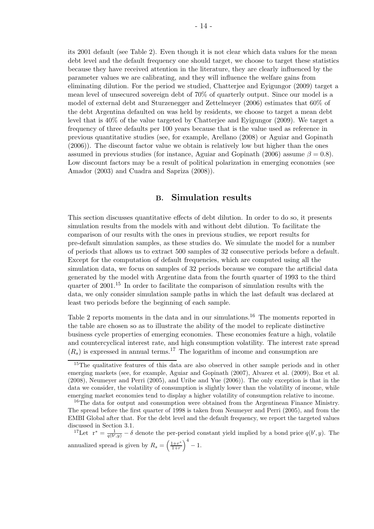its 2001 default (see Table 2). Even though it is not clear which data values for the mean debt level and the default frequency one should target, we choose to target these statistics because they have received attention in the literature, they are clearly influenced by the parameter values we are calibrating, and they will influence the welfare gains from eliminating dilution. For the period we studied, Chatterjee and Eyigungor (2009) target a mean level of unsecured sovereign debt of 70% of quarterly output. Since our model is a model of external debt and Sturzenegger and Zettelmeyer (2006) estimates that 60% of the debt Argentina defaulted on was held by residents, we choose to target a mean debt level that is 40% of the value targeted by Chatterjee and Eyigungor (2009). We target a frequency of three defaults per 100 years because that is the value used as reference in previous quantitative studies (see, for example, Arellano (2008) or Aguiar and Gopinath (2006)). The discount factor value we obtain is relatively low but higher than the ones assumed in previous studies (for instance, Aguiar and Gopinath (2006) assume  $\beta = 0.8$ ). Low discount factors may be a result of political polarization in emerging economies (see Amador (2003) and Cuadra and Sapriza (2008)).

# B. Simulation results

This section discusses quantitative effects of debt dilution. In order to do so, it presents simulation results from the models with and without debt dilution. To facilitate the comparison of our results with the ones in previous studies, we report results for pre-default simulation samples, as these studies do. We simulate the model for a number of periods that allows us to extract 500 samples of 32 consecutive periods before a default. Except for the computation of default frequencies, which are computed using all the simulation data, we focus on samples of 32 periods because we compare the artificial data generated by the model with Argentine data from the fourth quarter of 1993 to the third quarter of 2001.<sup>15</sup> In order to facilitate the comparison of simulation results with the data, we only consider simulation sample paths in which the last default was declared at least two periods before the beginning of each sample.

Table 2 reports moments in the data and in our simulations.<sup>16</sup> The moments reported in the table are chosen so as to illustrate the ability of the model to replicate distinctive business cycle properties of emerging economies. These economies feature a high, volatile and countercyclical interest rate, and high consumption volatility. The interest rate spread  $(R<sub>s</sub>)$  is expressed in annual terms.<sup>17</sup> The logarithm of income and consumption are

<sup>17</sup>Let  $\mathbf{r}^* = \frac{1}{q(b', y)} - \delta$  denote the per-period constant yield implied by a bond price  $q(b', y)$ . The annualized spread is given by  $R_s = \left(\frac{1+r^*}{1+r}\right)$  $\frac{1+r^*}{1+r}$  $\Big)^4-1.$ 

<sup>&</sup>lt;sup>15</sup>The qualitative features of this data are also observed in other sample periods and in other emerging markets (see, for example, Aguiar and Gopinath (2007), Alvarez et al. (2009), Boz et al. (2008), Neumeyer and Perri (2005), and Uribe and Yue (2006)). The only exception is that in the data we consider, the volatility of consumption is slightly lower than the volatility of income, while emerging market economies tend to display a higher volatility of consumption relative to income.

<sup>&</sup>lt;sup>16</sup>The data for output and consumption were obtained from the Argentinean Finance Ministry. The spread before the first quarter of 1998 is taken from Neumeyer and Perri (2005), and from the EMBI Global after that. For the debt level and the default frequency, we report the targeted values discussed in Section 3.1.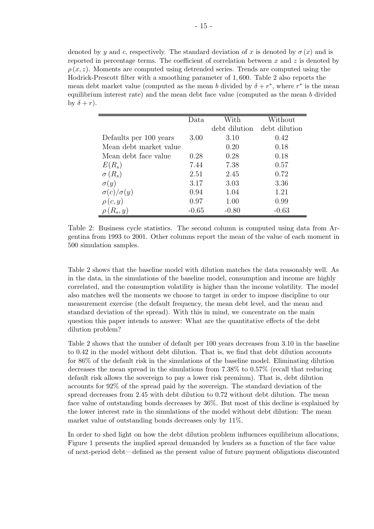denoted by y and c, respectively. The standard deviation of x is denoted by  $\sigma(x)$  and is reported in percentage terms. The coefficient of correlation between x and z is denoted by  $\rho(x, z)$ . Moments are computed using detrended series. Trends are computed using the Hodrick-Prescott filter with a smoothing parameter of 1, 600. Table 2 also reports the mean debt market value (computed as the mean b divided by  $\delta + r^*$ , where  $r^*$  is the mean equilibrium interest rate) and the mean debt face value (computed as the mean b divided by  $\delta + r$ ).

|                        | Data    | With          | Without       |
|------------------------|---------|---------------|---------------|
|                        |         | debt dilution | debt dilution |
| Defaults per 100 years | 3.00    | 3.10          | 0.42          |
| Mean debt market value |         | 0.20          | 0.18          |
| Mean debt face value   | 0.28    | 0.28          | 0.18          |
| $E(R_s)$               | 7.44    | 7.38          | 0.57          |
| $\sigma(R_s)$          | 2.51    | 2.45          | 0.72          |
| $\sigma(y)$            | 3.17    | 3.03          | 3.36          |
| $\sigma(c)/\sigma(y)$  | 0.94    | 1.04          | 1.21          |
| $\rho(c, y)$           | 0.97    | 1.00          | 0.99          |
| $R_s, y)$              | $-0.65$ | $-0.80$       | $-0.63$       |

Table 2: Business cycle statistics. The second column is computed using data from Argentina from 1993 to 2001. Other columns report the mean of the value of each moment in 500 simulation samples.

Table 2 shows that the baseline model with dilution matches the data reasonably well. As in the data, in the simulations of the baseline model, consumption and income are highly correlated, and the consumption volatility is higher than the income volatility. The model also matches well the moments we choose to target in order to impose discipline to our measurement exercise (the default frequency, the mean debt level, and the mean and standard deviation of the spread). With this in mind, we concentrate on the main question this paper intends to answer: What are the quantitative effects of the debt dilution problem?

Table 2 shows that the number of default per 100 years decreases from 3.10 in the baseline to 0.42 in the model without debt dilution. That is, we find that debt dilution accounts for 86% of the default risk in the simulations of the baseline model. Eliminating dilution decreases the mean spread in the simulations from 7.38% to 0.57% (recall that reducing default risk allows the sovereign to pay a lower risk premium). That is, debt dilution accounts for 92% of the spread paid by the sovereign. The standard deviation of the spread decreases from 2.45 with debt dilution to 0.72 without debt dilution. The mean face value of outstanding bonds decreases by 36%. But most of this decline is explained by the lower interest rate in the simulations of the model without debt dilution: The mean market value of outstanding bonds decreases only by 11%.

In order to shed light on how the debt dilution problem influences equilibrium allocations, Figure 1 presents the implied spread demanded by lenders as a function of the face value of next-period debt—defined as the present value of future payment obligations discounted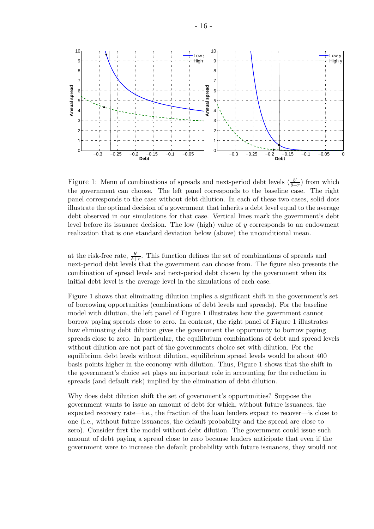

Figure 1: Menu of combinations of spreads and next-period debt levels  $\left(\frac{b'}{b+1}\right)$  $\frac{b'}{\delta+r}$  from which the government can choose. The left panel corresponds to the baseline case. The right panel corresponds to the case without debt dilution. In each of these two cases, solid dots illustrate the optimal decision of a government that inherits a debt level equal to the average debt observed in our simulations for that case. Vertical lines mark the government's debt level before its issuance decision. The low (high) value of  $y$  corresponds to an endowment realization that is one standard deviation below (above) the unconditional mean.

at the risk-free rate,  $\frac{b'}{\delta +}$  $\frac{b'}{b+r}$ . This function defines the set of combinations of spreads and next-period debt levels that the government can choose from. The figure also presents the combination of spread levels and next-period debt chosen by the government when its initial debt level is the average level in the simulations of each case.

Figure 1 shows that eliminating dilution implies a significant shift in the government's set of borrowing opportunities (combinations of debt levels and spreads). For the baseline model with dilution, the left panel of Figure 1 illustrates how the government cannot borrow paying spreads close to zero. In contrast, the right panel of Figure 1 illustrates how eliminating debt dilution gives the government the opportunity to borrow paying spreads close to zero. In particular, the equilibrium combinations of debt and spread levels without dilution are not part of the governments choice set with dilution. For the equilibrium debt levels without dilution, equilibrium spread levels would be about 400 basis points higher in the economy with dilution. Thus, Figure 1 shows that the shift in the government's choice set plays an important role in accounting for the reduction in spreads (and default risk) implied by the elimination of debt dilution.

Why does debt dilution shift the set of government's opportunities? Suppose the government wants to issue an amount of debt for which, without future issuances, the expected recovery rate—i.e., the fraction of the loan lenders expect to recover—is close to one (i.e., without future issuances, the default probability and the spread are close to zero). Consider first the model without debt dilution. The government could issue such amount of debt paying a spread close to zero because lenders anticipate that even if the government were to increase the default probability with future issuances, they would not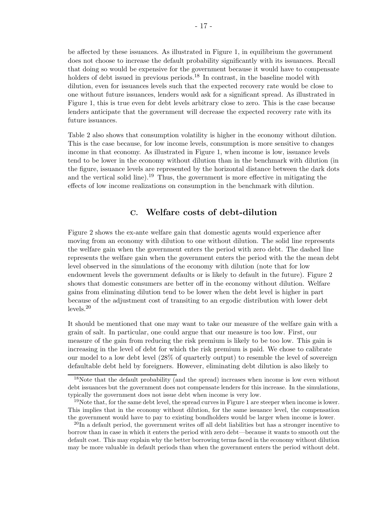be affected by these issuances. As illustrated in Figure 1, in equilibrium the government does not choose to increase the default probability significantly with its issuances. Recall that doing so would be expensive for the government because it would have to compensate holders of debt issued in previous periods.<sup>18</sup> In contrast, in the baseline model with dilution, even for issuances levels such that the expected recovery rate would be close to one without future issuances, lenders would ask for a significant spread. As illustrated in Figure 1, this is true even for debt levels arbitrary close to zero. This is the case because lenders anticipate that the government will decrease the expected recovery rate with its future issuances.

Table 2 also shows that consumption volatility is higher in the economy without dilution. This is the case because, for low income levels, consumption is more sensitive to changes income in that economy. As illustrated in Figure 1, when income is low, issuance levels tend to be lower in the economy without dilution than in the benchmark with dilution (in the figure, issuance levels are represented by the horizontal distance between the dark dots and the vertical solid line).<sup>19</sup> Thus, the government is more effective in mitigating the effects of low income realizations on consumption in the benchmark with dilution.

# C. Welfare costs of debt-dilution

Figure 2 shows the ex-ante welfare gain that domestic agents would experience after moving from an economy with dilution to one without dilution. The solid line represents the welfare gain when the government enters the period with zero debt. The dashed line represents the welfare gain when the government enters the period with the the mean debt level observed in the simulations of the economy with dilution (note that for low endowment levels the government defaults or is likely to default in the future). Figure 2 shows that domestic consumers are better off in the economy without dilution. Welfare gains from eliminating dilution tend to be lower when the debt level is higher in part because of the adjustment cost of transiting to an ergodic distribution with lower debt levels.<sup>20</sup>

It should be mentioned that one may want to take our measure of the welfare gain with a grain of salt. In particular, one could argue that our measure is too low. First, our measure of the gain from reducing the risk premium is likely to be too low. This gain is increasing in the level of debt for which the risk premium is paid. We chose to calibrate our model to a low debt level (28% of quarterly output) to resemble the level of sovereign defaultable debt held by foreigners. However, eliminating debt dilution is also likely to

<sup>&</sup>lt;sup>18</sup>Note that the default probability (and the spread) increases when income is low even without debt issuances but the government does not compensate lenders for this increase. In the simulations, typically the government does not issue debt when income is very low.

 $19$ Note that, for the same debt level, the spread curves in Figure 1 are steeper when income is lower. This implies that in the economy without dilution, for the same issuance level, the compensation the government would have to pay to existing bondholders would be larger when income is lower.

 $^{20}$ In a default period, the government writes off all debt liabilities but has a stronger incentive to borrow than in case in which it enters the period with zero debt—because it wants to smooth out the default cost. This may explain why the better borrowing terms faced in the economy without dilution may be more valuable in default periods than when the government enters the period without debt.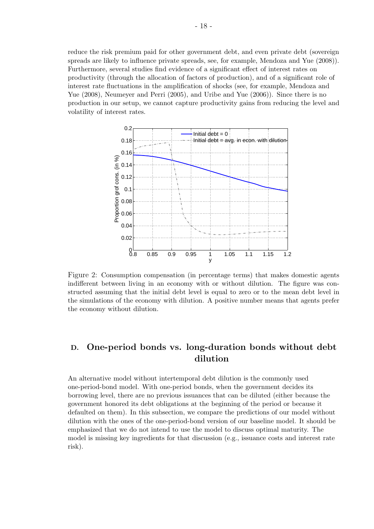reduce the risk premium paid for other government debt, and even private debt (sovereign spreads are likely to influence private spreads, see, for example, Mendoza and Yue (2008)). Furthermore, several studies find evidence of a significant effect of interest rates on productivity (through the allocation of factors of production), and of a significant role of interest rate fluctuations in the amplification of shocks (see, for example, Mendoza and Yue (2008), Neumeyer and Perri (2005), and Uribe and Yue (2006)). Since there is no production in our setup, we cannot capture productivity gains from reducing the level and volatility of interest rates.



Figure 2: Consumption compensation (in percentage terms) that makes domestic agents indifferent between living in an economy with or without dilution. The figure was constructed assuming that the initial debt level is equal to zero or to the mean debt level in the simulations of the economy with dilution. A positive number means that agents prefer the economy without dilution.

# D. One-period bonds vs. long-duration bonds without debt dilution

An alternative model without intertemporal debt dilution is the commonly used one-period-bond model. With one-period bonds, when the government decides its borrowing level, there are no previous issuances that can be diluted (either because the government honored its debt obligations at the beginning of the period or because it defaulted on them). In this subsection, we compare the predictions of our model without dilution with the ones of the one-period-bond version of our baseline model. It should be emphasized that we do not intend to use the model to discuss optimal maturity. The model is missing key ingredients for that discussion (e.g., issuance costs and interest rate risk).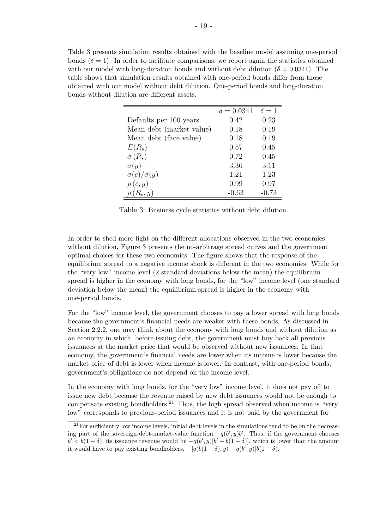Table 3 presents simulation results obtained with the baseline model assuming one-period bonds  $(\delta = 1)$ . In order to facilitate comparisons, we report again the statistics obtained with our model with long-duration bonds and without debt dilution ( $\delta = 0.0341$ ). The table shows that simulation results obtained with one-period bonds differ from those obtained with our model without debt dilution. One-period bonds and long-duration bonds without dilution are different assets.

|                          | $\delta = 0.0341$ | $\delta = 1$ |
|--------------------------|-------------------|--------------|
| Defaults per 100 years   | 0.42              | 0.23         |
| Mean debt (market value) | 0.18              | 0.19         |
| Mean debt (face value)   | 0.18              | 0.19         |
| $E(R_s)$                 | 0.57              | 0.45         |
| $\sigma(R_s)$            | 0.72              | 0.45         |
| $\sigma(y)$              | 3.36              | 3.11         |
| $\sigma(c)/\sigma(y)$    | 1.21              | 1.23         |
| $\rho(c, y)$             | 0.99              | 0.97         |
| $R_s, y)$                | $-0.63$           | $-0.73$      |

Table 3: Business cycle statistics without debt dilution.

In order to shed more light on the different allocations observed in the two economies without dilution, Figure 3 presents the no-arbitrage spread curves and the government optimal choices for these two economies. The figure shows that the response of the equilibrium spread to a negative income shock is different in the two economies. While for the "very low" income level (2 standard deviations below the mean) the equilibrium spread is higher in the economy with long bonds, for the "low" income level (one standard deviation below the mean) the equilibrium spread is higher in the economy with one-period bonds.

For the "low" income level, the government chooses to pay a lower spread with long bonds because the government's financial needs are weaker with these bonds. As discussed in Section 2.2.2, one may think about the economy with long bonds and without dilution as an economy in which, before issuing debt, the government must buy back all previous issuances at the market price that would be observed without new issuances. In that economy, the government's financial needs are lower when its income is lower because the market price of debt is lower when income is lower. In contrast, with one-period bonds, government's obligations do not depend on the income level.

In the economy with long bonds, for the "very low" income level, it does not pay off to issue new debt because the revenue raised by new debt issuances would not be enough to compensate existing bondholders.<sup>21</sup> Thus, the high spread observed when income is "very low" corresponds to previous-period issuances and it is not paid by the government for

<sup>&</sup>lt;sup>21</sup> For sufficiently low income levels, initial debt levels in the simulations tend to be on the decreasing part of the sovereign-debt-market-value function  $-q(b', y)b'$ . Thus, if the government chooses  $b' < b(1-\delta)$ , its issuance revenue would be  $-q(b', y)[b'-b(1-\delta)]$ , which is lower than the amount it would have to pay existing bondholders,  $-[q(b(1-\delta), y) - q(b', y)]b(1-\delta)$ .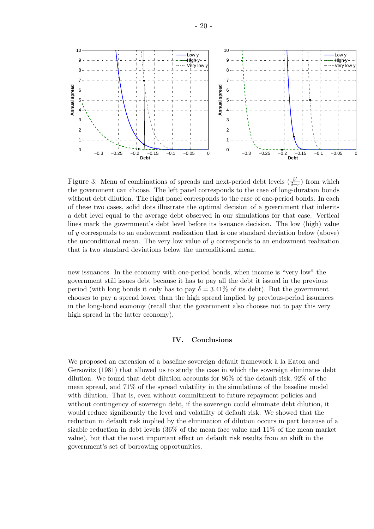

Figure 3: Menu of combinations of spreads and next-period debt levels  $\left(\frac{b}{\delta+1}\right)$  $\frac{b'}{\delta+r}$  from which the government can choose. The left panel corresponds to the case of long-duration bonds without debt dilution. The right panel corresponds to the case of one-period bonds. In each of these two cases, solid dots illustrate the optimal decision of a government that inherits a debt level equal to the average debt observed in our simulations for that case. Vertical lines mark the government's debt level before its issuance decision. The low (high) value of y corresponds to an endowment realization that is one standard deviation below (above) the unconditional mean. The very low value of y corresponds to an endowment realization that is two standard deviations below the unconditional mean.

new issuances. In the economy with one-period bonds, when income is "very low" the government still issues debt because it has to pay all the debt it issued in the previous period (with long bonds it only has to pay  $\delta = 3.41\%$  of its debt). But the government chooses to pay a spread lower than the high spread implied by previous-period issuances in the long-bond economy (recall that the government also chooses not to pay this very high spread in the latter economy).

### IV. Conclusions

We proposed an extension of a baseline sovereign default framework à la Eaton and Gersovitz (1981) that allowed us to study the case in which the sovereign eliminates debt dilution. We found that debt dilution accounts for 86% of the default risk, 92% of the mean spread, and 71% of the spread volatility in the simulations of the baseline model with dilution. That is, even without commitment to future repayment policies and without contingency of sovereign debt, if the sovereign could eliminate debt dilution, it would reduce significantly the level and volatility of default risk. We showed that the reduction in default risk implied by the elimination of dilution occurs in part because of a sizable reduction in debt levels (36% of the mean face value and 11% of the mean market value), but that the most important effect on default risk results from an shift in the government's set of borrowing opportunities.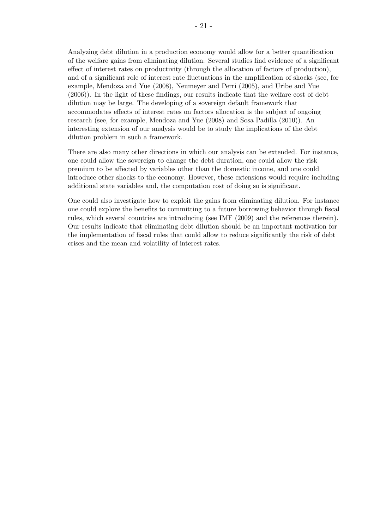Analyzing debt dilution in a production economy would allow for a better quantification of the welfare gains from eliminating dilution. Several studies find evidence of a significant effect of interest rates on productivity (through the allocation of factors of production), and of a significant role of interest rate fluctuations in the amplification of shocks (see, for example, Mendoza and Yue (2008), Neumeyer and Perri (2005), and Uribe and Yue (2006)). In the light of these findings, our results indicate that the welfare cost of debt dilution may be large. The developing of a sovereign default framework that accommodates effects of interest rates on factors allocation is the subject of ongoing research (see, for example, Mendoza and Yue (2008) and Sosa Padilla (2010)). An interesting extension of our analysis would be to study the implications of the debt dilution problem in such a framework.

There are also many other directions in which our analysis can be extended. For instance, one could allow the sovereign to change the debt duration, one could allow the risk premium to be affected by variables other than the domestic income, and one could introduce other shocks to the economy. However, these extensions would require including additional state variables and, the computation cost of doing so is significant.

One could also investigate how to exploit the gains from eliminating dilution. For instance one could explore the benefits to committing to a future borrowing behavior through fiscal rules, which several countries are introducing (see IMF (2009) and the references therein). Our results indicate that eliminating debt dilution should be an important motivation for the implementation of fiscal rules that could allow to reduce significantly the risk of debt crises and the mean and volatility of interest rates.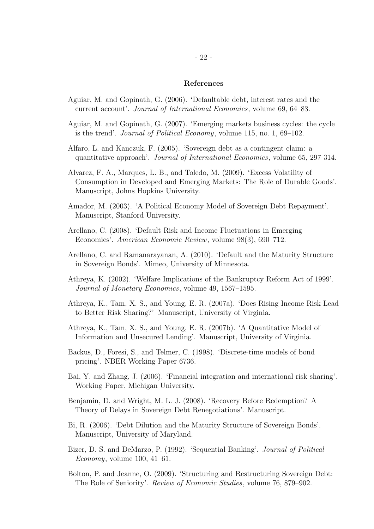### References

- Aguiar, M. and Gopinath, G. (2006). 'Defaultable debt, interest rates and the current account'. Journal of International Economics, volume 69, 64–83.
- Aguiar, M. and Gopinath, G. (2007). 'Emerging markets business cycles: the cycle is the trend'. Journal of Political Economy, volume 115, no. 1, 69–102.
- Alfaro, L. and Kanczuk, F. (2005). 'Sovereign debt as a contingent claim: a quantitative approach'. Journal of International Economics, volume 65, 297 314.
- Alvarez, F. A., Marques, L. B., and Toledo, M. (2009). 'Excess Volatility of Consumption in Developed and Emerging Markets: The Role of Durable Goods'. Manuscript, Johns Hopkins University.
- Amador, M. (2003). 'A Political Economy Model of Sovereign Debt Repayment'. Manuscript, Stanford University.
- Arellano, C. (2008). 'Default Risk and Income Fluctuations in Emerging Economies'. American Economic Review, volume 98(3), 690–712.
- Arellano, C. and Ramanarayanan, A. (2010). 'Default and the Maturity Structure in Sovereign Bonds'. Mimeo, University of Minnesota.
- Athreya, K. (2002). 'Welfare Implications of the Bankruptcy Reform Act of 1999'. Journal of Monetary Economics, volume 49, 1567–1595.
- Athreya, K., Tam, X. S., and Young, E. R. (2007a). 'Does Rising Income Risk Lead to Better Risk Sharing?' Manuscript, University of Virginia.
- Athreya, K., Tam, X. S., and Young, E. R. (2007b). 'A Quantitative Model of Information and Unsecured Lending'. Manuscript, University of Virginia.
- Backus, D., Foresi, S., and Telmer, C. (1998). 'Discrete-time models of bond pricing'. NBER Working Paper 6736.
- Bai, Y. and Zhang, J. (2006). 'Financial integration and international risk sharing'. Working Paper, Michigan University.
- Benjamin, D. and Wright, M. L. J. (2008). 'Recovery Before Redemption? A Theory of Delays in Sovereign Debt Renegotiations'. Manuscript.
- Bi, R. (2006). 'Debt Dilution and the Maturity Structure of Sovereign Bonds'. Manuscript, University of Maryland.
- Bizer, D. S. and DeMarzo, P. (1992). 'Sequential Banking'. Journal of Political Economy, volume  $100, 41-61$ .
- Bolton, P. and Jeanne, O. (2009). 'Structuring and Restructuring Sovereign Debt: The Role of Seniority'. Review of Economic Studies, volume 76, 879–902.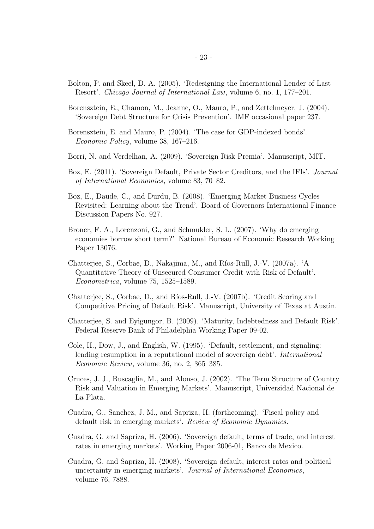- Bolton, P. and Skeel, D. A. (2005). 'Redesigning the International Lender of Last Resort'. Chicago Journal of International Law, volume 6, no. 1, 177–201.
- Borensztein, E., Chamon, M., Jeanne, O., Mauro, P., and Zettelmeyer, J. (2004). 'Sovereign Debt Structure for Crisis Prevention'. IMF occasional paper 237.
- Borensztein, E. and Mauro, P. (2004). 'The case for GDP-indexed bonds'. Economic Policy, volume 38, 167–216.
- Borri, N. and Verdelhan, A. (2009). 'Sovereign Risk Premia'. Manuscript, MIT.
- Boz, E. (2011). 'Sovereign Default, Private Sector Creditors, and the IFIs'. Journal of International Economics, volume 83, 70–82.
- Boz, E., Daude, C., and Durdu, B. (2008). 'Emerging Market Business Cycles Revisited: Learning about the Trend'. Board of Governors International Finance Discussion Papers No. 927.
- Broner, F. A., Lorenzoni, G., and Schmukler, S. L. (2007). 'Why do emerging economies borrow short term?' National Bureau of Economic Research Working Paper 13076.
- Chatterjee, S., Corbae, D., Nakajima, M., and Ríos-Rull, J.-V. (2007a). 'A Quantitative Theory of Unsecured Consumer Credit with Risk of Default'. Econometrica, volume 75, 1525–1589.
- Chatterjee, S., Corbae, D., and Ríos-Rull, J.-V. (2007b). 'Credit Scoring and Competitive Pricing of Default Risk'. Manuscript, University of Texas at Austin.
- Chatterjee, S. and Eyigungor, B. (2009). 'Maturity, Indebtedness and Default Risk'. Federal Reserve Bank of Philadelphia Working Paper 09-02.
- Cole, H., Dow, J., and English, W. (1995). 'Default, settlement, and signaling: lending resumption in a reputational model of sovereign debt'. International Economic Review, volume 36, no. 2, 365–385.
- Cruces, J. J., Buscaglia, M., and Alonso, J. (2002). 'The Term Structure of Country Risk and Valuation in Emerging Markets'. Manuscript, Universidad Nacional de La Plata.
- Cuadra, G., Sanchez, J. M., and Sapriza, H. (forthcoming). 'Fiscal policy and default risk in emerging markets'. Review of Economic Dynamics.
- Cuadra, G. and Sapriza, H. (2006). 'Sovereign default, terms of trade, and interest rates in emerging markets'. Working Paper 2006-01, Banco de Mexico.
- Cuadra, G. and Sapriza, H. (2008). 'Sovereign default, interest rates and political uncertainty in emerging markets'. Journal of International Economics, volume 76, 7888.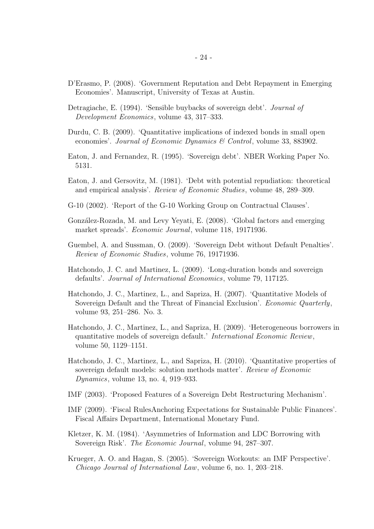- D'Erasmo, P. (2008). 'Government Reputation and Debt Repayment in Emerging Economies'. Manuscript, University of Texas at Austin.
- Detragiache, E. (1994). 'Sensible buybacks of sovereign debt'. Journal of Development Economics, volume 43, 317–333.
- Durdu, C. B. (2009). 'Quantitative implications of indexed bonds in small open economies'. Journal of Economic Dynamics & Control, volume 33, 883902.
- Eaton, J. and Fernandez, R. (1995). 'Sovereign debt'. NBER Working Paper No. 5131.
- Eaton, J. and Gersovitz, M. (1981). 'Debt with potential repudiation: theoretical and empirical analysis'. Review of Economic Studies, volume 48, 289–309.
- G-10 (2002). 'Report of the G-10 Working Group on Contractual Clauses'.
- González-Rozada, M. and Levy Yeyati, E. (2008). 'Global factors and emerging market spreads'. Economic Journal, volume 118, 19171936.
- Guembel, A. and Sussman, O. (2009). 'Sovereign Debt without Default Penalties'. Review of Economic Studies, volume 76, 19171936.
- Hatchondo, J. C. and Martinez, L. (2009). 'Long-duration bonds and sovereign defaults'. Journal of International Economics, volume 79, 117125.
- Hatchondo, J. C., Martinez, L., and Sapriza, H. (2007). 'Quantitative Models of Sovereign Default and the Threat of Financial Exclusion'. Economic Quarterly, volume 93, 251–286. No. 3.
- Hatchondo, J. C., Martinez, L., and Sapriza, H. (2009). 'Heterogeneous borrowers in quantitative models of sovereign default.' International Economic Review, volume 50, 1129–1151.
- Hatchondo, J. C., Martinez, L., and Sapriza, H. (2010). 'Quantitative properties of sovereign default models: solution methods matter'. Review of Economic Dynamics, volume 13, no. 4, 919–933.
- IMF (2003). 'Proposed Features of a Sovereign Debt Restructuring Mechanism'.
- IMF (2009). 'Fiscal RulesAnchoring Expectations for Sustainable Public Finances'. Fiscal Affairs Department, International Monetary Fund.
- Kletzer, K. M. (1984). 'Asymmetries of Information and LDC Borrowing with Sovereign Risk'. The Economic Journal, volume 94, 287–307.
- Krueger, A. O. and Hagan, S. (2005). 'Sovereign Workouts: an IMF Perspective'. Chicago Journal of International Law, volume 6, no. 1, 203–218.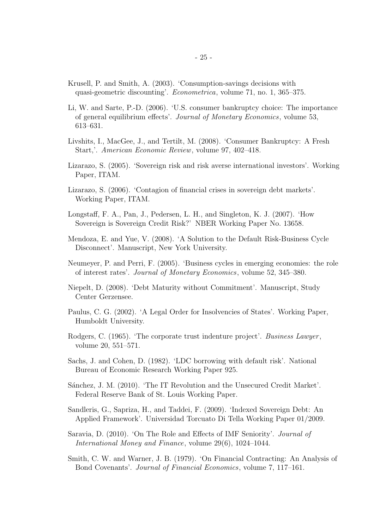- Krusell, P. and Smith, A. (2003). 'Consumption-savings decisions with quasi-geometric discounting'. Econometrica, volume 71, no. 1, 365–375.
- Li, W. and Sarte, P.-D. (2006). 'U.S. consumer bankruptcy choice: The importance of general equilibrium effects'. Journal of Monetary Economics, volume 53, 613–631.
- Livshits, I., MacGee, J., and Tertilt, M. (2008). 'Consumer Bankruptcy: A Fresh Start,'. American Economic Review, volume 97, 402–418.
- Lizarazo, S. (2005). 'Sovereign risk and risk averse international investors'. Working Paper, ITAM.
- Lizarazo, S. (2006). 'Contagion of financial crises in sovereign debt markets'. Working Paper, ITAM.
- Longstaff, F. A., Pan, J., Pedersen, L. H., and Singleton, K. J. (2007). 'How Sovereign is Sovereign Credit Risk?' NBER Working Paper No. 13658.
- Mendoza, E. and Yue, V. (2008). 'A Solution to the Default Risk-Business Cycle Disconnect'. Manuscript, New York University.
- Neumeyer, P. and Perri, F. (2005). 'Business cycles in emerging economies: the role of interest rates'. Journal of Monetary Economics, volume 52, 345–380.
- Niepelt, D. (2008). 'Debt Maturity without Commitment'. Manuscript, Study Center Gerzensee.
- Paulus, C. G. (2002). 'A Legal Order for Insolvencies of States'. Working Paper, Humboldt University.
- Rodgers, C. (1965). 'The corporate trust indenture project'. Business Lawyer, volume 20, 551–571.
- Sachs, J. and Cohen, D. (1982). 'LDC borrowing with default risk'. National Bureau of Economic Research Working Paper 925.
- Sánchez, J. M. (2010). 'The IT Revolution and the Unsecured Credit Market'. Federal Reserve Bank of St. Louis Working Paper.
- Sandleris, G., Sapriza, H., and Taddei, F. (2009). 'Indexed Sovereign Debt: An Applied Framework'. Universidad Torcuato Di Tella Working Paper 01/2009.
- Saravia, D. (2010). 'On The Role and Effects of IMF Seniority'. Journal of International Money and Finance, volume 29(6), 1024–1044.
- Smith, C. W. and Warner, J. B. (1979). 'On Financial Contracting: An Analysis of Bond Covenants'. Journal of Financial Economics, volume 7, 117–161.